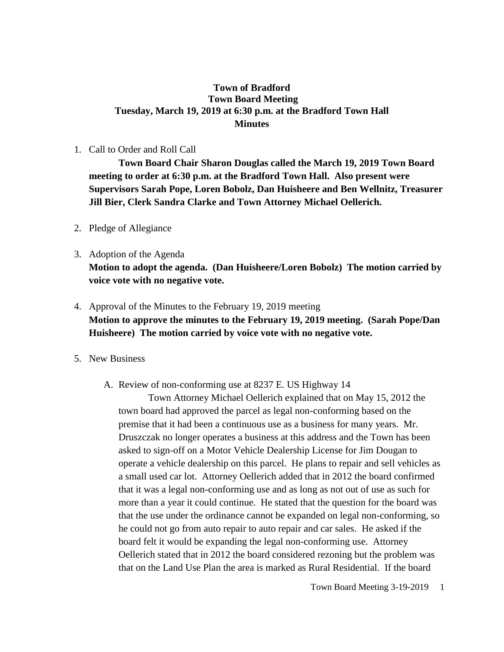### **Town of Bradford Town Board Meeting Tuesday, March 19, 2019 at 6:30 p.m. at the Bradford Town Hall Minutes**

#### 1. Call to Order and Roll Call

**Town Board Chair Sharon Douglas called the March 19, 2019 Town Board meeting to order at 6:30 p.m. at the Bradford Town Hall. Also present were Supervisors Sarah Pope, Loren Bobolz, Dan Huisheere and Ben Wellnitz, Treasurer Jill Bier, Clerk Sandra Clarke and Town Attorney Michael Oellerich.**

#### 2. Pledge of Allegiance

# 3. Adoption of the Agenda **Motion to adopt the agenda. (Dan Huisheere/Loren Bobolz) The motion carried by voice vote with no negative vote.**

### 4. Approval of the Minutes to the February 19, 2019 meeting **Motion to approve the minutes to the February 19, 2019 meeting. (Sarah Pope/Dan Huisheere) The motion carried by voice vote with no negative vote.**

#### 5. New Business

#### A. Review of non-conforming use at 8237 E. US Highway 14

Town Attorney Michael Oellerich explained that on May 15, 2012 the town board had approved the parcel as legal non-conforming based on the premise that it had been a continuous use as a business for many years. Mr. Druszczak no longer operates a business at this address and the Town has been asked to sign-off on a Motor Vehicle Dealership License for Jim Dougan to operate a vehicle dealership on this parcel. He plans to repair and sell vehicles as a small used car lot. Attorney Oellerich added that in 2012 the board confirmed that it was a legal non-conforming use and as long as not out of use as such for more than a year it could continue. He stated that the question for the board was that the use under the ordinance cannot be expanded on legal non-conforming, so he could not go from auto repair to auto repair and car sales. He asked if the board felt it would be expanding the legal non-conforming use. Attorney Oellerich stated that in 2012 the board considered rezoning but the problem was that on the Land Use Plan the area is marked as Rural Residential. If the board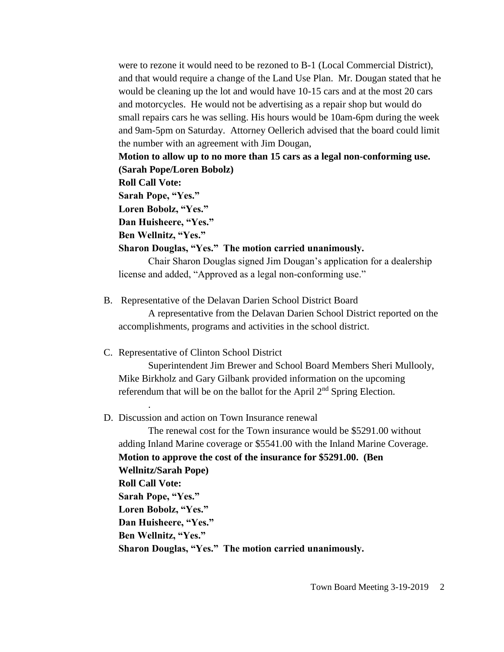were to rezone it would need to be rezoned to B-1 (Local Commercial District), and that would require a change of the Land Use Plan. Mr. Dougan stated that he would be cleaning up the lot and would have 10-15 cars and at the most 20 cars and motorcycles. He would not be advertising as a repair shop but would do small repairs cars he was selling. His hours would be 10am-6pm during the week and 9am-5pm on Saturday. Attorney Oellerich advised that the board could limit the number with an agreement with Jim Dougan,

**Motion to allow up to no more than 15 cars as a legal non-conforming use. (Sarah Pope/Loren Bobolz)** 

**Roll Call Vote:**

.

**Sarah Pope, "Yes."**

**Loren Bobolz, "Yes."**

**Dan Huisheere, "Yes."**

**Ben Wellnitz, "Yes."**

**Sharon Douglas, "Yes." The motion carried unanimously.**

Chair Sharon Douglas signed Jim Dougan's application for a dealership license and added, "Approved as a legal non-conforming use."

B. Representative of the Delavan Darien School District Board

A representative from the Delavan Darien School District reported on the accomplishments, programs and activities in the school district.

C. Representative of Clinton School District

Superintendent Jim Brewer and School Board Members Sheri Mullooly, Mike Birkholz and Gary Gilbank provided information on the upcoming referendum that will be on the ballot for the April 2<sup>nd</sup> Spring Election.

D. Discussion and action on Town Insurance renewal

The renewal cost for the Town insurance would be \$5291.00 without adding Inland Marine coverage or \$5541.00 with the Inland Marine Coverage. **Motion to approve the cost of the insurance for \$5291.00. (Ben Wellnitz/Sarah Pope) Roll Call Vote: Sarah Pope, "Yes." Loren Bobolz, "Yes." Dan Huisheere, "Yes." Ben Wellnitz, "Yes." Sharon Douglas, "Yes." The motion carried unanimously.**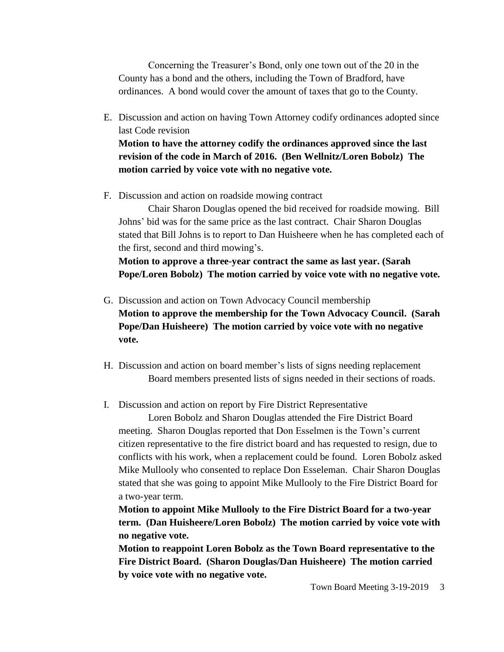Concerning the Treasurer's Bond, only one town out of the 20 in the County has a bond and the others, including the Town of Bradford, have ordinances. A bond would cover the amount of taxes that go to the County.

- E. Discussion and action on having Town Attorney codify ordinances adopted since last Code revision **Motion to have the attorney codify the ordinances approved since the last revision of the code in March of 2016. (Ben Wellnitz/Loren Bobolz) The**
- F. Discussion and action on roadside mowing contract

**motion carried by voice vote with no negative vote.**

Chair Sharon Douglas opened the bid received for roadside mowing. Bill Johns' bid was for the same price as the last contract. Chair Sharon Douglas stated that Bill Johns is to report to Dan Huisheere when he has completed each of the first, second and third mowing's.

**Motion to approve a three-year contract the same as last year. (Sarah Pope/Loren Bobolz) The motion carried by voice vote with no negative vote.**

- G. Discussion and action on Town Advocacy Council membership **Motion to approve the membership for the Town Advocacy Council. (Sarah Pope/Dan Huisheere) The motion carried by voice vote with no negative vote.**
- H. Discussion and action on board member's lists of signs needing replacement Board members presented lists of signs needed in their sections of roads.
- I. Discussion and action on report by Fire District Representative

Loren Bobolz and Sharon Douglas attended the Fire District Board meeting. Sharon Douglas reported that Don Esselmen is the Town's current citizen representative to the fire district board and has requested to resign, due to conflicts with his work, when a replacement could be found. Loren Bobolz asked Mike Mullooly who consented to replace Don Esseleman. Chair Sharon Douglas stated that she was going to appoint Mike Mullooly to the Fire District Board for a two-year term.

**Motion to appoint Mike Mullooly to the Fire District Board for a two-year term. (Dan Huisheere/Loren Bobolz) The motion carried by voice vote with no negative vote.**

**Motion to reappoint Loren Bobolz as the Town Board representative to the Fire District Board. (Sharon Douglas/Dan Huisheere) The motion carried by voice vote with no negative vote.**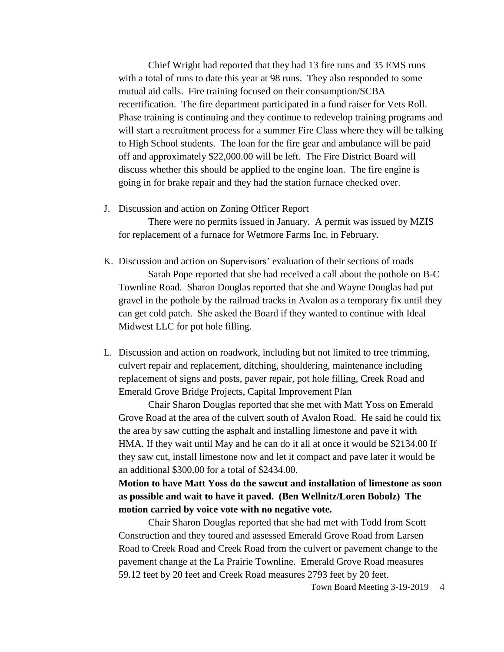Chief Wright had reported that they had 13 fire runs and 35 EMS runs with a total of runs to date this year at 98 runs. They also responded to some mutual aid calls. Fire training focused on their consumption/SCBA recertification. The fire department participated in a fund raiser for Vets Roll. Phase training is continuing and they continue to redevelop training programs and will start a recruitment process for a summer Fire Class where they will be talking to High School students. The loan for the fire gear and ambulance will be paid off and approximately \$22,000.00 will be left. The Fire District Board will discuss whether this should be applied to the engine loan. The fire engine is going in for brake repair and they had the station furnace checked over.

J. Discussion and action on Zoning Officer Report

There were no permits issued in January. A permit was issued by MZIS for replacement of a furnace for Wetmore Farms Inc. in February.

- K. Discussion and action on Supervisors' evaluation of their sections of roads Sarah Pope reported that she had received a call about the pothole on B-C Townline Road. Sharon Douglas reported that she and Wayne Douglas had put gravel in the pothole by the railroad tracks in Avalon as a temporary fix until they can get cold patch. She asked the Board if they wanted to continue with Ideal Midwest LLC for pot hole filling.
- L. Discussion and action on roadwork, including but not limited to tree trimming, culvert repair and replacement, ditching, shouldering, maintenance including replacement of signs and posts, paver repair, pot hole filling, Creek Road and Emerald Grove Bridge Projects, Capital Improvement Plan

Chair Sharon Douglas reported that she met with Matt Yoss on Emerald Grove Road at the area of the culvert south of Avalon Road. He said he could fix the area by saw cutting the asphalt and installing limestone and pave it with HMA. If they wait until May and he can do it all at once it would be \$2134.00 If they saw cut, install limestone now and let it compact and pave later it would be an additional \$300.00 for a total of \$2434.00.

**Motion to have Matt Yoss do the sawcut and installation of limestone as soon as possible and wait to have it paved. (Ben Wellnitz/Loren Bobolz) The motion carried by voice vote with no negative vote.**

Chair Sharon Douglas reported that she had met with Todd from Scott Construction and they toured and assessed Emerald Grove Road from Larsen Road to Creek Road and Creek Road from the culvert or pavement change to the pavement change at the La Prairie Townline. Emerald Grove Road measures 59.12 feet by 20 feet and Creek Road measures 2793 feet by 20 feet.

Town Board Meeting 3-19-2019 4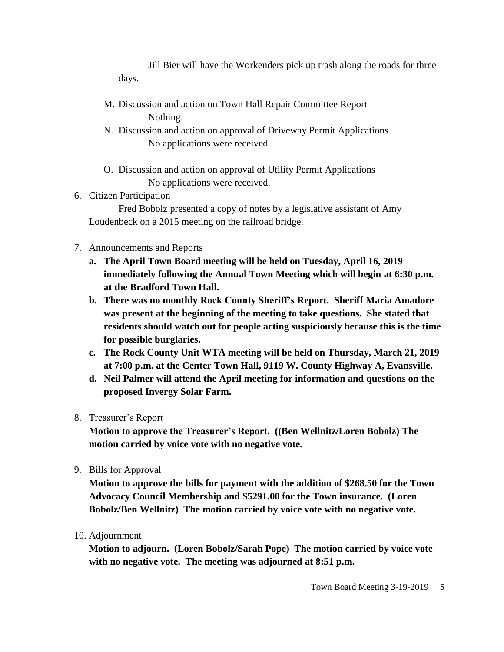Jill Bier will have the Workenders pick up trash along the roads for three days.

- M. Discussion and action on Town Hall Repair Committee Report Nothing.
- N. Discussion and action on approval of Driveway Permit Applications No applications were received.
- O. Discussion and action on approval of Utility Permit Applications No applications were received.

### 6. Citizen Participation

Fred Bobolz presented a copy of notes by a legislative assistant of Amy Loudenbeck on a 2015 meeting on the railroad bridge.

# 7. Announcements and Reports

- **a. The April Town Board meeting will be held on Tuesday, April 16, 2019 immediately following the Annual Town Meeting which will begin at 6:30 p.m. at the Bradford Town Hall.**
- **b. There was no monthly Rock County Sheriff's Report. Sheriff Maria Amadore was present at the beginning of the meeting to take questions. She stated that residents should watch out for people acting suspiciously because this is the time for possible burglaries.**
- **c. The Rock County Unit WTA meeting will be held on Thursday, March 21, 2019 at 7:00 p.m. at the Center Town Hall, 9119 W. County Highway A, Evansville.**
- **d. Neil Palmer will attend the April meeting for information and questions on the proposed Invergy Solar Farm.**
- 8. Treasurer's Report

**Motion to approve the Treasurer's Report. ((Ben Wellnitz/Loren Bobolz) The motion carried by voice vote with no negative vote.**

9. Bills for Approval

**Motion to approve the bills for payment with the addition of \$268.50 for the Town Advocacy Council Membership and \$5291.00 for the Town insurance. (Loren Bobolz/Ben Wellnitz) The motion carried by voice vote with no negative vote.**

10. Adjournment

**Motion to adjourn. (Loren Bobolz/Sarah Pope) The motion carried by voice vote with no negative vote. The meeting was adjourned at 8:51 p.m.**